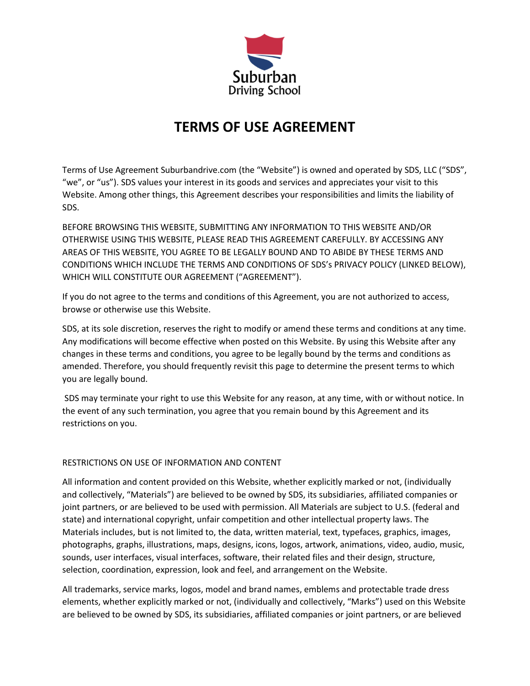

# **TERMS OF USE AGREEMENT**

Terms of Use Agreement Suburbandrive.com (the "Website") is owned and operated by SDS, LLC ("SDS", "we", or "us"). SDS values your interest in its goods and services and appreciates your visit to this Website. Among other things, this Agreement describes your responsibilities and limits the liability of SDS.

BEFORE BROWSING THIS WEBSITE, SUBMITTING ANY INFORMATION TO THIS WEBSITE AND/OR OTHERWISE USING THIS WEBSITE, PLEASE READ THIS AGREEMENT CAREFULLY. BY ACCESSING ANY AREAS OF THIS WEBSITE, YOU AGREE TO BE LEGALLY BOUND AND TO ABIDE BY THESE TERMS AND CONDITIONS WHICH INCLUDE THE TERMS AND CONDITIONS OF SDS's PRIVACY POLICY (LINKED BELOW), WHICH WILL CONSTITUTE OUR AGREEMENT ("AGREEMENT").

If you do not agree to the terms and conditions of this Agreement, you are not authorized to access, browse or otherwise use this Website.

SDS, at its sole discretion, reserves the right to modify or amend these terms and conditions at any time. Any modifications will become effective when posted on this Website. By using this Website after any changes in these terms and conditions, you agree to be legally bound by the terms and conditions as amended. Therefore, you should frequently revisit this page to determine the present terms to which you are legally bound.

SDS may terminate your right to use this Website for any reason, at any time, with or without notice. In the event of any such termination, you agree that you remain bound by this Agreement and its restrictions on you.

## RESTRICTIONS ON USE OF INFORMATION AND CONTENT

All information and content provided on this Website, whether explicitly marked or not, (individually and collectively, "Materials") are believed to be owned by SDS, its subsidiaries, affiliated companies or joint partners, or are believed to be used with permission. All Materials are subject to U.S. (federal and state) and international copyright, unfair competition and other intellectual property laws. The Materials includes, but is not limited to, the data, written material, text, typefaces, graphics, images, photographs, graphs, illustrations, maps, designs, icons, logos, artwork, animations, video, audio, music, sounds, user interfaces, visual interfaces, software, their related files and their design, structure, selection, coordination, expression, look and feel, and arrangement on the Website.

All trademarks, service marks, logos, model and brand names, emblems and protectable trade dress elements, whether explicitly marked or not, (individually and collectively, "Marks") used on this Website are believed to be owned by SDS, its subsidiaries, affiliated companies or joint partners, or are believed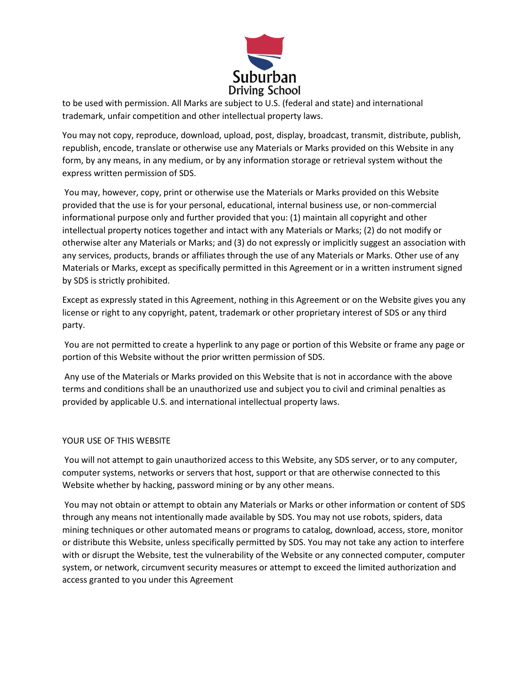

to be used with permission. All Marks are subject to U.S. (federal and state) and international trademark, unfair competition and other intellectual property laws.

You may not copy, reproduce, download, upload, post, display, broadcast, transmit, distribute, publish, republish, encode, translate or otherwise use any Materials or Marks provided on this Website in any form, by any means, in any medium, or by any information storage or retrieval system without the express written permission of SDS.

You may, however, copy, print or otherwise use the Materials or Marks provided on this Website provided that the use is for your personal, educational, internal business use, or non-commercial informational purpose only and further provided that you: (1) maintain all copyright and other intellectual property notices together and intact with any Materials or Marks; (2) do not modify or otherwise alter any Materials or Marks; and (3) do not expressly or implicitly suggest an association with any services, products, brands or affiliates through the use of any Materials or Marks. Other use of any Materials or Marks, except as specifically permitted in this Agreement or in a written instrument signed by SDS is strictly prohibited.

Except as expressly stated in this Agreement, nothing in this Agreement or on the Website gives you any license or right to any copyright, patent, trademark or other proprietary interest of SDS or any third party.

You are not permitted to create a hyperlink to any page or portion of this Website or frame any page or portion of this Website without the prior written permission of SDS.

Any use of the Materials or Marks provided on this Website that is not in accordance with the above terms and conditions shall be an unauthorized use and subject you to civil and criminal penalties as provided by applicable U.S. and international intellectual property laws.

#### YOUR USE OF THIS WEBSITE

You will not attempt to gain unauthorized access to this Website, any SDS server, or to any computer, computer systems, networks or servers that host, support or that are otherwise connected to this Website whether by hacking, password mining or by any other means.

You may not obtain or attempt to obtain any Materials or Marks or other information or content of SDS through any means not intentionally made available by SDS. You may not use robots, spiders, data mining techniques or other automated means or programs to catalog, download, access, store, monitor or distribute this Website, unless specifically permitted by SDS. You may not take any action to interfere with or disrupt the Website, test the vulnerability of the Website or any connected computer, computer system, or network, circumvent security measures or attempt to exceed the limited authorization and access granted to you under this Agreement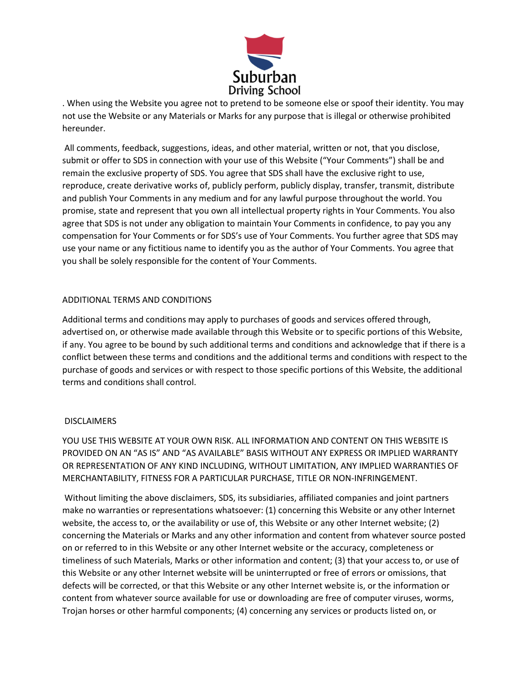

. When using the Website you agree not to pretend to be someone else or spoof their identity. You may not use the Website or any Materials or Marks for any purpose that is illegal or otherwise prohibited hereunder.

All comments, feedback, suggestions, ideas, and other material, written or not, that you disclose, submit or offer to SDS in connection with your use of this Website ("Your Comments") shall be and remain the exclusive property of SDS. You agree that SDS shall have the exclusive right to use, reproduce, create derivative works of, publicly perform, publicly display, transfer, transmit, distribute and publish Your Comments in any medium and for any lawful purpose throughout the world. You promise, state and represent that you own all intellectual property rights in Your Comments. You also agree that SDS is not under any obligation to maintain Your Comments in confidence, to pay you any compensation for Your Comments or for SDS's use of Your Comments. You further agree that SDS may use your name or any fictitious name to identify you as the author of Your Comments. You agree that you shall be solely responsible for the content of Your Comments.

## ADDITIONAL TERMS AND CONDITIONS

Additional terms and conditions may apply to purchases of goods and services offered through, advertised on, or otherwise made available through this Website or to specific portions of this Website, if any. You agree to be bound by such additional terms and conditions and acknowledge that if there is a conflict between these terms and conditions and the additional terms and conditions with respect to the purchase of goods and services or with respect to those specific portions of this Website, the additional terms and conditions shall control.

#### **DISCLAIMERS**

YOU USE THIS WEBSITE AT YOUR OWN RISK. ALL INFORMATION AND CONTENT ON THIS WEBSITE IS PROVIDED ON AN "AS IS" AND "AS AVAILABLE" BASIS WITHOUT ANY EXPRESS OR IMPLIED WARRANTY OR REPRESENTATION OF ANY KIND INCLUDING, WITHOUT LIMITATION, ANY IMPLIED WARRANTIES OF MERCHANTABILITY, FITNESS FOR A PARTICULAR PURCHASE, TITLE OR NON-INFRINGEMENT.

Without limiting the above disclaimers, SDS, its subsidiaries, affiliated companies and joint partners make no warranties or representations whatsoever: (1) concerning this Website or any other Internet website, the access to, or the availability or use of, this Website or any other Internet website; (2) concerning the Materials or Marks and any other information and content from whatever source posted on or referred to in this Website or any other Internet website or the accuracy, completeness or timeliness of such Materials, Marks or other information and content; (3) that your access to, or use of this Website or any other Internet website will be uninterrupted or free of errors or omissions, that defects will be corrected, or that this Website or any other Internet website is, or the information or content from whatever source available for use or downloading are free of computer viruses, worms, Trojan horses or other harmful components; (4) concerning any services or products listed on, or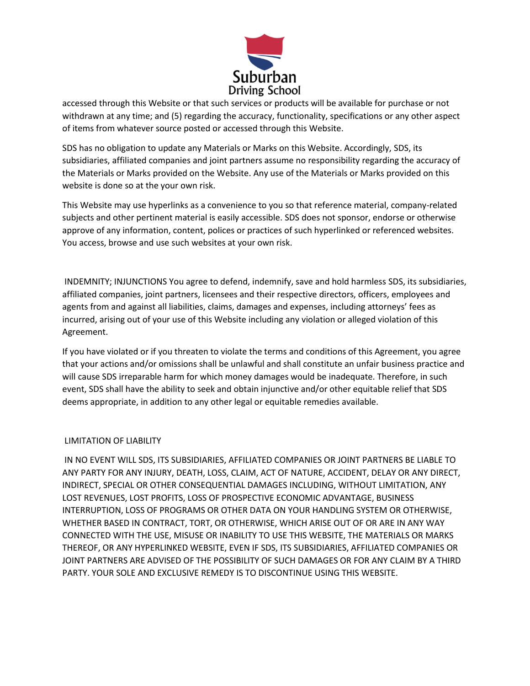

accessed through this Website or that such services or products will be available for purchase or not withdrawn at any time; and (5) regarding the accuracy, functionality, specifications or any other aspect of items from whatever source posted or accessed through this Website.

SDS has no obligation to update any Materials or Marks on this Website. Accordingly, SDS, its subsidiaries, affiliated companies and joint partners assume no responsibility regarding the accuracy of the Materials or Marks provided on the Website. Any use of the Materials or Marks provided on this website is done so at the your own risk.

This Website may use hyperlinks as a convenience to you so that reference material, company-related subjects and other pertinent material is easily accessible. SDS does not sponsor, endorse or otherwise approve of any information, content, polices or practices of such hyperlinked or referenced websites. You access, browse and use such websites at your own risk.

INDEMNITY; INJUNCTIONS You agree to defend, indemnify, save and hold harmless SDS, its subsidiaries, affiliated companies, joint partners, licensees and their respective directors, officers, employees and agents from and against all liabilities, claims, damages and expenses, including attorneys' fees as incurred, arising out of your use of this Website including any violation or alleged violation of this Agreement.

If you have violated or if you threaten to violate the terms and conditions of this Agreement, you agree that your actions and/or omissions shall be unlawful and shall constitute an unfair business practice and will cause SDS irreparable harm for which money damages would be inadequate. Therefore, in such event, SDS shall have the ability to seek and obtain injunctive and/or other equitable relief that SDS deems appropriate, in addition to any other legal or equitable remedies available.

#### LIMITATION OF LIABILITY

IN NO EVENT WILL SDS, ITS SUBSIDIARIES, AFFILIATED COMPANIES OR JOINT PARTNERS BE LIABLE TO ANY PARTY FOR ANY INJURY, DEATH, LOSS, CLAIM, ACT OF NATURE, ACCIDENT, DELAY OR ANY DIRECT, INDIRECT, SPECIAL OR OTHER CONSEQUENTIAL DAMAGES INCLUDING, WITHOUT LIMITATION, ANY LOST REVENUES, LOST PROFITS, LOSS OF PROSPECTIVE ECONOMIC ADVANTAGE, BUSINESS INTERRUPTION, LOSS OF PROGRAMS OR OTHER DATA ON YOUR HANDLING SYSTEM OR OTHERWISE, WHETHER BASED IN CONTRACT, TORT, OR OTHERWISE, WHICH ARISE OUT OF OR ARE IN ANY WAY CONNECTED WITH THE USE, MISUSE OR INABILITY TO USE THIS WEBSITE, THE MATERIALS OR MARKS THEREOF, OR ANY HYPERLINKED WEBSITE, EVEN IF SDS, ITS SUBSIDIARIES, AFFILIATED COMPANIES OR JOINT PARTNERS ARE ADVISED OF THE POSSIBILITY OF SUCH DAMAGES OR FOR ANY CLAIM BY A THIRD PARTY. YOUR SOLE AND EXCLUSIVE REMEDY IS TO DISCONTINUE USING THIS WEBSITE.